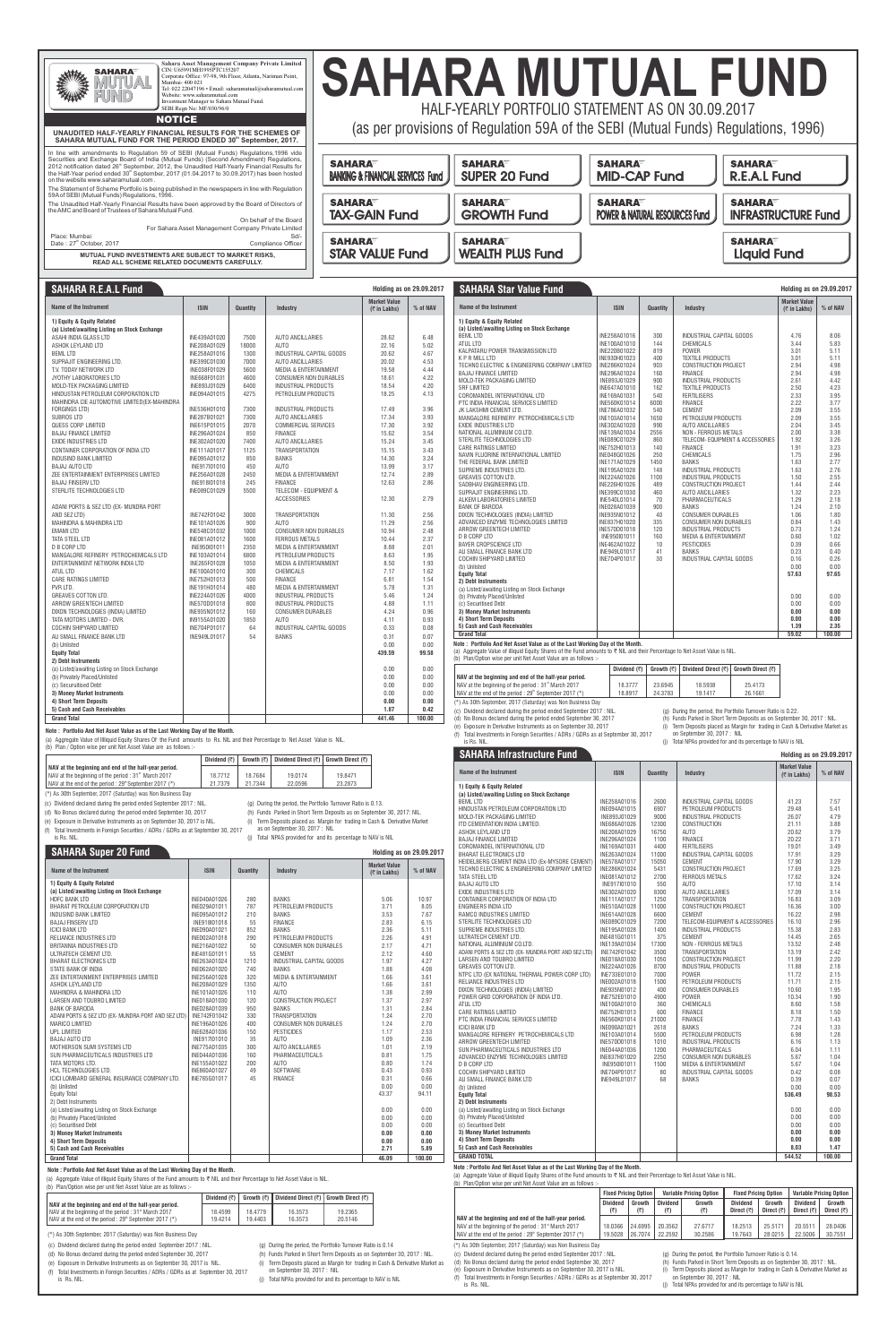|                                                                                                                                                                                                                                                                                                                                                                                                                                                | CIN: U65991MH1995PTC155207<br>SAHARA<br>Mumbai- 400 021<br>Website: www.saharamutual.com<br>SEBI Regn No: MF/030/96/0                               | Corporate Office: 97-98, 9th Floor, Atlanta, Nariman Point,<br>Tel: 022 22047196 · Email: saharamutual@saharamutual.com<br>Investment Manager to Sahara Mutual Fund. |  |  |  |  |  |
|------------------------------------------------------------------------------------------------------------------------------------------------------------------------------------------------------------------------------------------------------------------------------------------------------------------------------------------------------------------------------------------------------------------------------------------------|-----------------------------------------------------------------------------------------------------------------------------------------------------|----------------------------------------------------------------------------------------------------------------------------------------------------------------------|--|--|--|--|--|
|                                                                                                                                                                                                                                                                                                                                                                                                                                                | <b>NOTICE</b>                                                                                                                                       |                                                                                                                                                                      |  |  |  |  |  |
|                                                                                                                                                                                                                                                                                                                                                                                                                                                | UNAUDITED HALF-YEARLY FINANCIAL RESULTS FOR THE SCHEMES OF<br>SAHARA MUTUAL FUND FOR THE PERIOD ENDED 30th September, 2017.                         |                                                                                                                                                                      |  |  |  |  |  |
| In line with amendments to Regulation 59 of SEBI (Mutual Funds) Regulations, 1996 vide<br>Securities and Exchange Board of India (Mutual Funds) (Second Amendment) Regulations,<br>2012 notification dated 26 <sup>th</sup> September, 2012, the Unaudited Half-Yearly Financial Results for<br>the Half-Year period ended 30 <sup>th</sup> September, 2017 (01.04.2017 to 30.09.2017) has been hosted<br>on the website www.saharamutual.com. |                                                                                                                                                     |                                                                                                                                                                      |  |  |  |  |  |
|                                                                                                                                                                                                                                                                                                                                                                                                                                                |                                                                                                                                                     |                                                                                                                                                                      |  |  |  |  |  |
|                                                                                                                                                                                                                                                                                                                                                                                                                                                | The Statement of Scheme Portfolio is being published in the newspapers in line with Regulation<br>59A of SEBI (Mutual Funds) Regulations, 1996.     |                                                                                                                                                                      |  |  |  |  |  |
|                                                                                                                                                                                                                                                                                                                                                                                                                                                | The Unaudited Half-Yearly Financial Results have been approved by the Board of Directors of<br>the AMC and Board of Trustees of Sahara Mutual Fund. |                                                                                                                                                                      |  |  |  |  |  |
|                                                                                                                                                                                                                                                                                                                                                                                                                                                |                                                                                                                                                     | On behalf of the Board<br>For Sahara Asset Management Company Private Limited                                                                                        |  |  |  |  |  |

**MUTUAL FUND INVESTMENTS ARE SUBJECT TO MARKET RISKS, READ ALL SCHEME RELATED DOCUMENTS CAREFULLY.**

## HALF-YEARLY PORTFOLIO STATEMENT AS ON 30.09.2017 **SAHARA MUTUAL FUND**

(as per provisions of Regulation 59A of the SEBI (Mutual Funds) Regulations, 1996)

| <b>SAHARA</b>                                | <b>SAHARA</b>           | <b>SAHARA</b>                             | <b>SAHARA</b>              |
|----------------------------------------------|-------------------------|-------------------------------------------|----------------------------|
| <b>BANKING &amp; FINANCIAL SERVICES Fund</b> | <b>SUPER 20 Fund</b>    | <b>MID-CAP Fund</b>                       | <b>R.E.A.L Fund</b>        |
| <b>SAHARA</b>                                | <b>SAHARA</b>           | <b>SAHARA</b>                             | <b>SAHARA</b>              |
| <b>TAX-GAIN Fund</b>                         | <b>GROWTH Fund</b>      | <b>POWER &amp; NATURAL RESOURCES Fund</b> | <b>INFRASTRUCTURE Fund</b> |
| <b>SAHARA</b>                                | <b>SAHARA</b>           |                                           | <b>SAHARA</b>              |
| <b>STAR VALUE Fund</b>                       | <b>WEALTH PLUS Fund</b> |                                           | <b>Liquid Fund</b>         |

### **SAHARA R.E.A.L Fund**

|                                                                 | Dividend $($ ₹ $)$ |         | Growth (₹)   Dividend Direct (₹)   Growth Direct (₹) |         |
|-----------------------------------------------------------------|--------------------|---------|------------------------------------------------------|---------|
| NAV at the beginning and end of the half-year period.           |                    |         |                                                      |         |
| NAV at the beginning of the period: 31 <sup>st</sup> March 2017 | 18.7712            | 18.7684 | 19.0174                                              | 19.8471 |
| NAV at the end of the period : $29th$ September 2017 (*)        | 21.7379            | 21.7344 | 22.0596                                              | 23.2873 |

(a) Aggregate Value of Illliquid Equity Shares Of the Fund amounts to Rs. NIL and their Percentage to Net Asset Value is NIL. (b) Plan / Option wise per unit Net Asset Value are as follows :-

> (a) Aggregate Value of illiquid Equity Shares of the Fund amounts to  $\nabla$  NIL and their Percentage to Net Asset Value is NIL. (b) Plan/Option wise per unit Net Asset Value are as follows :-

**Holding as on 29.09.2017**

is Rs. NIL.

**1) Equity & Equity Related** 

| <b>SAHARA R.E.A.L Fund</b>                                    |              |          |                                  | <b>Holding as on 29.09.2017</b>        |          | <b>SAHARA Star Value Fund</b>                                                                                                                                                                              |                              |                    |                                                                                                                                         | <b>Holding as on 29.09.201</b>      |              |
|---------------------------------------------------------------|--------------|----------|----------------------------------|----------------------------------------|----------|------------------------------------------------------------------------------------------------------------------------------------------------------------------------------------------------------------|------------------------------|--------------------|-----------------------------------------------------------------------------------------------------------------------------------------|-------------------------------------|--------------|
| Name of the Instrument                                        | <b>ISIN</b>  | Quantity | <b>Industry</b>                  | <b>Market Value</b><br>$($ ₹ in Lakhs) | % of NAV | Name of the Instrument                                                                                                                                                                                     | <b>ISIN</b>                  | <b>Quantity</b>    | <b>Industry</b>                                                                                                                         | <b>Market Value</b><br>(₹ in Lakhs) | % of NAV     |
| 1) Equity & Equity Related                                    |              |          |                                  |                                        |          | 1) Equity & Equity Related                                                                                                                                                                                 |                              |                    |                                                                                                                                         |                                     |              |
| (a) Listed/awaiting Listing on Stock Exchange                 |              |          |                                  |                                        |          | (a) Listed/awaiting Listing on Stock Exchange                                                                                                                                                              |                              |                    |                                                                                                                                         |                                     |              |
| ASAHI INDIA GLASS LTD                                         | INE439A01020 | 7500     | <b>AUTO ANCILLARIES</b>          | 28.62                                  | 6.48     | <b>BEML LTD</b>                                                                                                                                                                                            | INE258A01016                 | 300                | INDUSTRIAL CAPITAL GOODS                                                                                                                | 4.76                                | 8.06         |
| ASHOK LEYLAND LTD                                             | INE208A01029 | 18000    | <b>AUTO</b>                      | 22.16                                  | 5.02     | ATUL LTD                                                                                                                                                                                                   | INE100A01010                 | 144                | CHEMICALS                                                                                                                               | 3.44                                | 5.83         |
| <b>BEML LTD</b>                                               | INE258A01016 | 1300     | INDUSTRIAL CAPITAL GOODS         | 20.62                                  | 4.67     | KALPATARU POWER TRANSMISSION LTD                                                                                                                                                                           | INE220B01022                 | 819                | POWER                                                                                                                                   | 3.01                                | 5.11         |
| SUPRAJIT ENGINEERING LTD.                                     | INE399C01030 | 7000     | AUTO ANCILLARIES                 | 20.02                                  | 4.53     | <b>KPRMILLLTD</b>                                                                                                                                                                                          | INE930H01023                 | 400                | <b>TEXTILE PRODUCTS</b>                                                                                                                 | 3.01                                | 5.11         |
| T.V. TODAY NETWORK LTD                                        | INE038F01029 | 5600     | <b>MEDIA &amp; ENTERTAINMENT</b> | 19.58                                  | 4.44     | TECHNO ELECTRIC & ENGINEERING COMPANY LIMITED                                                                                                                                                              | INE286K01024                 | 903                | <b>CONSTRUCTION PROJECT</b>                                                                                                             | 2.94                                | 4.98         |
| JYOTHY LABORATORIES LTD                                       | INE668F01031 | 4600     | <b>CONSUMER NON DURABLES</b>     | 18.61                                  | 4.22     | <b>BAJAJ FINANCE LIMITED</b>                                                                                                                                                                               | INE296A01024                 | 160                | <b>FINANCE</b>                                                                                                                          | 2.94                                | 4.98         |
| MOLD-TEK PACKAGING LIMITED                                    | INE893J01029 | 6400     | <b>INDUSTRIAL PRODUCTS</b>       | 18.54                                  | 4.20     | MOLD-TEK PACKAGING LIMITED                                                                                                                                                                                 | INE893J01029                 | 900                | <b>INDUSTRIAL PRODUCTS</b>                                                                                                              | 2.61                                | 4.42         |
| HINDUSTAN PETROLEUM CORPORATION LTD                           | INE094A01015 | 4275     | PETROLEUM PRODUCTS               | 18.25                                  | 4.13     | <b>SRF LIMITED</b>                                                                                                                                                                                         | INE647A01010                 | 162                | <b>TEXTILE PRODUCTS</b>                                                                                                                 | 2.50                                | 4.23         |
|                                                               |              |          |                                  |                                        |          | COROMANDEL INTERNATIONAL LTD                                                                                                                                                                               | INE169A01031                 | 540                | <b>FERTILISERS</b>                                                                                                                      | 2.33                                | 3.95         |
| MAHINDRA CIE AUTOMOTIVE LIMITED (EX-MAHINDRA<br>FORGINGS LTD) | INE536H01010 | 7300     | <b>INDUSTRIAL PRODUCTS</b>       | 17.49                                  | 3.96     | PTC INDIA FINANCIAL SERVICES LIMITED                                                                                                                                                                       | INE560K01014                 | 6000               | <b>FINANCE</b>                                                                                                                          | 2.22                                | 3.77         |
|                                                               |              |          |                                  |                                        |          | JK LAKSHMI CEMENT LTD.                                                                                                                                                                                     | INE786A01032                 | 540                | <b>CEMENT</b>                                                                                                                           | 2.09                                | 3.55         |
| SUBROS LTD                                                    | INE287B01021 | 7300     | AUTO ANCILLARIES                 | 17.34                                  | 3.93     | MANGALORE REFINERY PETROCHEMICALS LTD                                                                                                                                                                      | INE103A01014                 | 1650               | PETROLEUM PRODUCTS                                                                                                                      | 2.09                                | 3.55         |
| <b>QUESS CORP LIMITED</b>                                     | INE615P01015 | 2070     | <b>COMMERCIAL SERVICES</b>       | 17.30                                  | 3.92     | <b>EXIDE INDUSTRIES LTD</b>                                                                                                                                                                                | INE302A01020                 | 990                | AUTO ANCILLARIES                                                                                                                        | 2.04                                | 3.45         |
| <b>BAJAJ FINANCE LIMITED</b>                                  | INE296A01024 | 850      | <b>FINANCE</b>                   | 15.62                                  | 3.54     | NATIONAL ALUMINIUM CO.LTD.                                                                                                                                                                                 | INE139A01034                 | 2556<br>860        | NON - FERROUS METALS                                                                                                                    | 2.00<br>1.92                        | 3.38<br>3.26 |
| <b>EXIDE INDUSTRIES LTD</b>                                   | INE302A01020 | 7400     | <b>AUTO ANCILLARIES</b>          | 15.24                                  | 3.45     | STERLITE TECHNOLOGIES LTD                                                                                                                                                                                  | INE089C01029                 | 140                | TELECOM- EQUIPMENT & ACCESSORIES<br><b>FINANCE</b>                                                                                      | 1.91                                |              |
| CONTAINER CORPORATION OF INDIA LTD                            | INE111A01017 | 1125     | <b>TRANSPORTATION</b>            | 15.15                                  | 3.43     | CARE RATINGS LIMITED                                                                                                                                                                                       | INE752H01013                 |                    |                                                                                                                                         |                                     | 3.23<br>2.96 |
| <b>INDUSIND BANK LIMITED</b>                                  | INE095A01012 | 850      | <b>BANKS</b>                     | 14.30                                  | 3.24     | NAVIN FLUORINE INTERNATIONAL LIMITED<br>THE FEDERAL BANK LIMITED                                                                                                                                           | INE048G01026<br>INE171A01029 | 250<br>1450        | CHEMICALS<br><b>BANKS</b>                                                                                                               | 1.75<br>1.63                        | 2.77         |
| <b>BAJAJ AUTO LTD</b>                                         | INE917I01010 | 450      | AUTO                             | 13.99                                  | 3.17     | SUPREME INDUSTRIES LTD.                                                                                                                                                                                    | INE195A01028                 | 148                | <b>INDUSTRIAL PRODUCTS</b>                                                                                                              | 1.63                                | 2.76         |
| ZEE ENTERTAINMENT ENTERPRISES LIMITED                         | INE256A01028 | 2450     | <b>MEDIA &amp; ENTERTAINMENT</b> | 12.74                                  | 2.89     | <b>GREAVES COTTON LTD.</b>                                                                                                                                                                                 | INE224A01026                 | 1100               | <b>INDUSTRIAL PRODUCTS</b>                                                                                                              | 1.50                                | 2.55         |
| <b>BAJAJ FINSERV LTD</b>                                      | INE918I01018 | 245      | <b>FINANCE</b>                   | 12.63                                  | 2.86     | SADBHAV ENGINEERING LTD.                                                                                                                                                                                   | INE226H01026                 | 489                | <b>CONSTRUCTION PROJECT</b>                                                                                                             | 1.44                                | 2.44         |
| STERLITE TECHNOLOGIES LTD                                     | INE089C01029 | 5500     | <b>TELECOM - EQUIPMENT &amp;</b> |                                        |          | SUPRAJIT ENGINEERING LTD.                                                                                                                                                                                  | INE399C01030                 | 460                | <b>AUTO ANCILLARIES</b>                                                                                                                 | 1.32                                | 2.23         |
|                                                               |              |          | <b>ACCESSORIES</b>               | 12.30                                  | 2.79     | ALKEM LABORATORIES LIMITED                                                                                                                                                                                 | INE540L01014                 | 70                 | PHARMACEUTICALS                                                                                                                         | 1.29                                | 2.18         |
| ADANI PORTS & SEZ LTD (EX- MUNDRA PORT                        |              |          |                                  |                                        |          | <b>BANK OF BARODA</b>                                                                                                                                                                                      | INE028A01039                 | 900                | <b>BANKS</b>                                                                                                                            | 1.24                                | 2.10         |
| AND SEZ LTD)                                                  | INE742F01042 | 3000     | <b>TRANSPORTATION</b>            | 11.30                                  | 2.56     | DIXON TECHNOLOGIES (INDIA) LIMITED                                                                                                                                                                         | INE935N01012                 | 40                 | <b>CONSUMER DURABLES</b>                                                                                                                | 1.06                                | 1.80         |
| <b>MAHINDRA &amp; MAHINDRA LTD</b>                            | INE101A01026 | 900      | <b>AUTO</b>                      | 11.29                                  | 2.56     | ADVANCED ENZYME TECHNOLOGIES LIMITED                                                                                                                                                                       | INE837H01020                 | 335                | <b>CONSUMER NON DURABLES</b>                                                                                                            | 0.84                                | 1.43         |
|                                                               |              |          |                                  | 10.94                                  | 2.48     | ARROW GREENTECH LIMITED                                                                                                                                                                                    | INE570D01018                 | 120                | <b>INDUSTRIAL PRODUCTS</b>                                                                                                              | 0.73                                | 1.24         |
| <b>EMAMI LTD</b>                                              | INE548C01032 | 1000     | <b>CONSUMER NON DURABLES</b>     |                                        |          | D B CORP LTD                                                                                                                                                                                               | INE950I01011                 | 160                | <b>MEDIA &amp; ENTERTAINMENT</b>                                                                                                        | 0.60                                | 1.02         |
| TATA STEEL LTD                                                | INE081A01012 | 1600     | FERROUS METALS                   | 10.44                                  | 2.37     | BAYER CROPSCIENCE LTD                                                                                                                                                                                      | INE462A01022                 | 10                 | <b>PESTICIDES</b>                                                                                                                       | 0.39                                | 0.66         |
| <b>D B CORP LTD</b>                                           | INE950I01011 | 2350     | <b>MEDIA &amp; ENTERTAINMENT</b> | 8.88                                   | 2.01     | AU SMALL FINANCE BANK LTD                                                                                                                                                                                  | INE949L01017                 | 41                 | BANKS                                                                                                                                   | 0.23                                | 0.40         |
| MANGALORE REFINERY PETROCHEMICALS LTD                         | INE103A01014 | 6800     | PETROLEUM PRODUCTS               | 8.63                                   | 1.95     | COCHIN SHIPYARD LIMITED                                                                                                                                                                                    | INE704P01017                 | 30                 | INDUSTRIAL CAPITAL GOODS                                                                                                                | 0.16                                | 0.26         |
| ENTERTAINMENT NETWORK INDIA LTD                               | INE265F01028 | 1050     | <b>MEDIA &amp; ENTERTAINMENT</b> | 8.50                                   | 1.93     | (b) Unlisted                                                                                                                                                                                               |                              |                    |                                                                                                                                         | 0.00                                | 0.00         |
| <b>ATUL LTD</b>                                               | INE100A01010 | 300      | CHEMICALS                        | 7.17                                   | 1.62     | <b>Equity Total</b>                                                                                                                                                                                        |                              |                    |                                                                                                                                         | 57.63                               | 97.65        |
| CARE RATINGS LIMITED                                          | INE752H01013 | 500      | <b>FINANCE</b>                   | 6.81                                   | 1.54     | 2) Debt Instruments                                                                                                                                                                                        |                              |                    |                                                                                                                                         |                                     |              |
| PVR LTD.                                                      | INE191H01014 | 480      | <b>MEDIA &amp; ENTERTAINMENT</b> | 5.78                                   | 1.31     | (a) Listed/awaiting Listing on Stock Exchange                                                                                                                                                              |                              |                    |                                                                                                                                         |                                     |              |
| <b>GREAVES COTTON LTD</b>                                     | INE224A01026 | 4000     | <b>INDUSTRIAL PRODUCTS</b>       | 5.46                                   | 1.24     | (b) Privately Placed/Unlisted                                                                                                                                                                              |                              |                    |                                                                                                                                         | 0.00                                | 0.00         |
| ARROW GREENTECH LIMITED                                       | INE570D01018 | 800      | <b>INDUSTRIAL PRODUCTS</b>       | 4.88                                   | 1.11     | (c) Securitised Debt                                                                                                                                                                                       |                              |                    |                                                                                                                                         | 0.00                                | 0.00         |
| DIXON TECHNOLOGIES (INDIA) LIMITED                            | INE935N01012 | 160      | <b>CONSUMER DURABLES</b>         | 4.24                                   | 0.96     | 3) Money Market Instruments                                                                                                                                                                                |                              |                    |                                                                                                                                         | 0.00                                | 0.00         |
| TATA MOTORS LIMITED - DVR.                                    | IN9155A01020 | 1850     | AUTO                             | 4.11                                   | 0.93     | 4) Short Term Deposits                                                                                                                                                                                     |                              |                    |                                                                                                                                         | 0.00                                | 0.00         |
| COCHIN SHIPYARD LIMITED                                       | INE704P01017 | 64       | INDUSTRIAL CAPITAL GOODS         | 0.33                                   | 0.08     | 5) Cash and Cash Receivables                                                                                                                                                                               |                              |                    |                                                                                                                                         | 1.39                                | 2.35         |
| AU SMALL FINANCE BANK LTD                                     | INE949L01017 | 54       | <b>BANKS</b>                     | 0.31                                   | 0.07     | <b>Grand Total</b>                                                                                                                                                                                         |                              |                    |                                                                                                                                         | 59.02                               | 100.00       |
|                                                               |              |          |                                  |                                        |          |                                                                                                                                                                                                            |                              |                    |                                                                                                                                         |                                     |              |
| (b) Unlisted                                                  |              |          |                                  | 0.00                                   | 0.00     | Note: Portfolio And Net Asset Value as of the Last Working Day of the Month.<br>(a) Aggregate Value of illiquid Equity Shares of the Fund amounts to ₹ NIL and their Percentage to Net Asset Value is NIL. |                              |                    |                                                                                                                                         |                                     |              |
| <b>Equity Total</b>                                           |              |          |                                  | 439.59                                 | 99.58    | (b) Plan/Option wise per unit Net Asset Value are as follows :-                                                                                                                                            |                              |                    |                                                                                                                                         |                                     |              |
| 2) Debt Instruments                                           |              |          |                                  |                                        |          |                                                                                                                                                                                                            |                              |                    |                                                                                                                                         |                                     |              |
| (a) Listed/awaiting Listing on Stock Exchange                 |              |          |                                  | 0.00                                   | 0.00     |                                                                                                                                                                                                            | Dividend $(\overline{\tau})$ | Growth $(\bar{z})$ | Dividend Direct $(\vec{\tau})$ Growth Direct $(\vec{\tau})$                                                                             |                                     |              |
| (b) Privately Placed/Unlisted                                 |              |          |                                  | 0.00                                   | 0.00     | NAV at the beginning and end of the half-year period.                                                                                                                                                      |                              |                    |                                                                                                                                         |                                     |              |
| (c) Securuitised Debt                                         |              |          |                                  | 0.00                                   | 0.00     | NAV at the beginning of the period: 31 <sup>st</sup> March 2017                                                                                                                                            | 18.3777                      | 23.6945            | 18.5938<br>25.4173                                                                                                                      |                                     |              |
| 3) Money Market Instruments                                   |              |          |                                  | 0.00                                   | 0.00     | NAV at the end of the period : 29 <sup>th</sup> September 2017 (*)                                                                                                                                         | 18.8917                      | 24.3783            | 19.1417<br>26.1661                                                                                                                      |                                     |              |
| <b>4) Short Term Deposits</b>                                 |              |          |                                  | 0.00                                   | 0.00     | (*) As 30th September, 2017 (Saturday) was Non Business Day                                                                                                                                                |                              |                    |                                                                                                                                         |                                     |              |
|                                                               |              |          |                                  |                                        | 0.42     |                                                                                                                                                                                                            |                              |                    |                                                                                                                                         |                                     |              |
| 5) Cash and Cash Receivables                                  |              |          |                                  | 1.87                                   |          |                                                                                                                                                                                                            |                              |                    |                                                                                                                                         |                                     |              |
| <b>Grand Total</b>                                            |              |          |                                  | 441.46                                 | 100.00   | (c) Dividend declared during the period ended September 2017 : NIL<br>(d) No Bonus declared during the period ended September 30, 2017                                                                     |                              |                    | (g) During the period, the Portfolio Turnover Ratio is 0.22.<br>(h) Funds Parked in Short Term Deposits as on September 30, 2017 : NIL. |                                     |              |

(j) Total NPAs provided for and its percentage to NAV is NIL **Holding as on 29.09.2017 Name of the Instrument Name of the Instrument Name of the Industry Name of the Industry <b>Industry Industry Market Value (**` **in Lakhs) % of NAV SAHARA Infrastructure Fund ISIN**

| $\frac{1}{2}$ , $\frac{1}{2}$ ,<br>(a) Listed/awaiting Listing on Stock Exchange |              |       |                                  |        |       |
|----------------------------------------------------------------------------------|--------------|-------|----------------------------------|--------|-------|
| <b>BEML LTD</b>                                                                  | INE258A01016 | 2600  | INDUSTRIAL CAPITAL GOODS         | 41.23  | 7.57  |
| HINDUSTAN PETROLEUM CORPORATION LTD                                              | INE094A01015 | 6907  | PETROLEUM PRODUCTS               | 29.48  | 5.41  |
| MOLD-TEK PACKAGING LIMITED                                                       | INE893J01029 | 9000  | <b>INDUSTRIAL PRODUCTS</b>       | 26.07  | 4.79  |
| ITD CEMENTATION INDIA LIMITED.                                                   | INE686A01026 | 12300 | <b>CONSTRUCTION</b>              | 21.11  | 3.88  |
| ASHOK LEYLAND LTD                                                                | INE208A01029 | 16750 | AUTO                             | 20.62  | 3.79  |
| <b>BAJAJ FINANCE LIMITED</b>                                                     | INE296A01024 | 1100  | <b>FINANCE</b>                   | 20.22  | 3.71  |
| COROMANDEL INTERNATIONAL LTD                                                     | INE169A01031 | 4400  | <b>FERTILISERS</b>               | 19.01  | 3.49  |
| <b>BHARAT ELECTRONICS LTD</b>                                                    | INE263A01024 | 11000 | INDUSTRIAL CAPITAL GOODS         | 17.91  | 3.29  |
| HEIDELBERG CEMENT INDIA LTD (Ex-MYSORE CEMENT)                                   | INE578A01017 | 15050 | <b>CEMENT</b>                    | 17.90  | 3.29  |
| TECHNO ELECTRIC & ENGINEERING COMPANY LIMITED                                    | INE286K01024 | 5431  | CONSTRUCTION PROJECT             | 17.69  | 3.25  |
| TATA STEEL LTD                                                                   | INE081A01012 | 2700  | <b>FERROUS METALS</b>            | 17.62  | 3.24  |
| <b>BAJAJ AUTO LTD</b>                                                            | INE917I01010 | 550   | AUTO                             | 17.10  | 3.14  |
| <b>EXIDE INDUSTRIES LTD</b>                                                      | INE302A01020 | 8300  | <b>AUTO ANCILLARIES</b>          | 17.09  | 3.14  |
| CONTAINER CORPORATION OF INDIA LTD                                               | INE111A01017 | 1250  | <b>TRANSPORTATION</b>            | 16.83  | 3.09  |
| ENGINEERS INDIA LTD                                                              | INE510A01028 | 11000 | CONSTRUCTION PROJECT             | 16.36  | 3.00  |
| RAMCO INDUSTRIES LIMITED                                                         | INE614A01028 | 6600  | <b>CEMENT</b>                    | 16.22  | 2.98  |
| STERLITE TECHNOLOGIES LTD                                                        | INE089C01029 | 7200  | TELECOM-EQUIPMENT & ACCESSORIES  | 16.10  | 2.96  |
| SUPREME INDUSTRIES LTD.                                                          | INE195A01028 | 1400  | <b>INDUSTRIAL PRODUCTS</b>       | 15.38  | 2.83  |
| ULTRATECH CEMENT LTD.                                                            | INE481G01011 | 375   | <b>CEMENT</b>                    | 14.45  | 2.65  |
| NATIONAL ALUMINIUM CO.LTD.                                                       | INE139A01034 | 17300 | NON - FERROUS METALS             | 13.52  | 2.48  |
| ADANI PORTS & SEZ LTD (EX- MUNDRA PORT AND SEZ LTD)                              | INE742F01042 | 3500  | <b>TRANSPORTATION</b>            | 13.19  | 2.42  |
| LARSEN AND TOUBRO LIMITED                                                        | INE018A01030 | 1050  | CONSTRUCTION PROJECT             | 11.99  | 2.20  |
| GREAVES COTTON LTD.                                                              | INE224A01026 | 8700  | <b>INDUSTRIAL PRODUCTS</b>       | 11.88  | 2.18  |
| NTPC LTD (EX NATIONAL THERMAL POWER CORP LTD)                                    | INE733E01010 | 7000  | <b>POWER</b>                     | 11.72  | 2.15  |
| RELIANCE INDUSTRIES LTD                                                          | INE002A01018 | 1500  | PETROLEUM PRODUCTS               | 11.71  | 2.15  |
| DIXON TECHNOLOGIES (INDIA) LIMITED                                               | INE935N01012 | 400   | <b>CONSUMER DURABLES</b>         | 10.60  | 1.95  |
| POWER GRID CORPORATION OF INDIA LTD.                                             | INE752E01010 | 4900  | <b>POWER</b>                     | 10.34  | 1.90  |
| <b>ATUL LTD</b>                                                                  | INE100A01010 | 360   | <b>CHEMICALS</b>                 | 8.60   | 1.58  |
| <b>CARE RATINGS LIMITED</b>                                                      | INE752H01013 | 600   | <b>FINANCE</b>                   | 8.18   | 1.50  |
| PTC INDIA FINANCIAL SERVICES LIMITED                                             | INE560K01014 | 21000 | <b>FINANCE</b>                   | 7.78   | 1.43  |
| <b>ICICI BANK LTD</b>                                                            | INE090A01021 | 2618  | <b>BANKS</b>                     | 7.24   | 1.33  |
| MANGALORE REFINERY PETROCHEMICALS LTD                                            | INE103A01014 | 5500  | PETROLEUM PRODUCTS               | 6.98   | 1.28  |
| ARROW GREENTECH LIMITED                                                          | INE570D01018 | 1010  | <b>INDUSTRIAL PRODUCTS</b>       | 6.16   | 1.13  |
| SUN PHARMACEUTICALS INDUSTRIES LTD                                               | INE044A01036 | 1200  | PHARMACEUTICALS                  | 6.04   | 1.11  |
| ADVANCED ENZYME TECHNOLOGIES LIMITED                                             | INE837H01020 | 2250  | <b>CONSUMER NON DURABLES</b>     | 5.67   | 1.04  |
| <b>D B CORP LTD</b>                                                              | INE950101011 | 1500  | <b>MEDIA &amp; ENTERTAINMENT</b> | 5.67   | 1.04  |
| COCHIN SHIPYARD LIMITED                                                          | INE704P01017 | 80    | INDUSTRIAL CAPITAL GOODS         | 0.42   | 0.08  |
| AU SMALL FINANCE BANK LTD                                                        | INE949L01017 | 68    | <b>BANKS</b>                     | 0.39   | 0.07  |
| (b) Unlisted                                                                     |              |       |                                  | 0.00   | 0.00  |
| <b>Equity Total</b>                                                              |              |       |                                  | 536.49 | 98.53 |
| 2) Debt Instruments                                                              |              |       |                                  |        |       |
| (a) Listed/awaiting Listing on Stock Exchange                                    |              |       |                                  | 0.00   | 0.00  |
| (b) Privately Placed/Unlisted                                                    |              |       |                                  | 0.00   | 0.00  |
| (c) Securitised Debt                                                             |              |       |                                  | 0.00   | 0.00  |
| 3) Money Market Instruments                                                      |              |       |                                  | 0.00   | 0.00  |
| 4) Short Term Deposits                                                           |              |       |                                  | 0.00   | 0.00  |
| 5) Cash and Cash Receivables                                                     |              |       |                                  | 8.03   | 1.47  |

- (\*) As 30th September, 2017 (Saturday) was Non Business Day
- (c) Dividend declared during the period ended September 2017 : NIL.
- (d) No Bonus declared during the period ended September 30, 2017
- (e) Exposure in Derivative Instruments as on September 30, 2017 is NIL.
- 
- (f) Total Investments in Foreign Securities / ADRs / GDRs as at September 30, 2017 is Rs. NIL.
- (g) During the period, the Portfolio Turnover Ratio is 0.13.
- (h) Funds Parked in Short Term Deposits as on September 30, 2017: NIL.
- (i) Term Deposits placed as Margin for trading in Cash & Derivative Market as on September 30, 2017 : NIL
	- (j) Total NPAS provided for and its percentage to NAV is NIL

(c) Dividend declared during the period ended September 2017 : NIL.

is Rs. NIL.

(g) During the period, the Portfolio Turnover Ratio is 0.14.

- (d) No Bonus declared during the period ended September 30, 2017
- (e) Exposure in Derivative Instruments as on September 30, 2017 is NIL. (f) Total Investments in Foreign Securities / ADRs / GDRs as at September 30, 2017
- (i) Term Deposits placed as Margin for trading in Cash & Derivative Market as on September 30, 2017 : NIL
	- (j) Total NPAs provided for and its percentage to NAV is NIL

(h) Funds Parked in Short Term Deposits as on September 30, 2017 : NIL.

|                                                                 |                 | <b>Fixed Pricing Option</b> |                        | <b>Variable Pricing Option</b> |                                       | <b>Fixed Pricing Option</b> | <b>Variable Pricing Option</b>        |                                 |
|-----------------------------------------------------------------|-----------------|-----------------------------|------------------------|--------------------------------|---------------------------------------|-----------------------------|---------------------------------------|---------------------------------|
|                                                                 | <b>Dividend</b> | Growth                      | <b>Dividend</b><br>(₹) | Growth                         | <b>Dividend</b><br>Direct $(\bar{z})$ | Growth<br>Direct $(7)$      | <b>Dividend</b><br>Direct $(\bar{z})$ | Growth<br>Direct $(\bar{\tau})$ |
| NAV at the beginning and end of the half-year period.           |                 |                             |                        |                                |                                       |                             |                                       |                                 |
| NAV at the beginning of the period: 31 <sup>st</sup> March 2017 | 18.0366         | 24.6995                     | 20.3562                | 27.6717                        | 18.2513                               | 25.5171                     | 20.5511                               | 28.0406                         |
| NAV at the end of the period : $29th$ September 2017 (*)        | 19.5028         | 26.7074                     | 22.2592                | 30.2586                        | 19.7643                               | 28.0215                     | 22.5006                               | 30.7551                         |

**Note : Portfolio And Net Asset Value as of the Last Working Day of the Month.**

| <b>SAHARA Super 20 Fund</b>                         |              |                 |                                  |                     | <b>Holding as on 29.09.2017</b> | <b>BHARAT ELECTRONICS LTD</b>                                              | INE263A01024                 | 11000        | <b>INDUSTRIAL CAPITAL GOODS</b>                                  | 17.91          | 3.29         |
|-----------------------------------------------------|--------------|-----------------|----------------------------------|---------------------|---------------------------------|----------------------------------------------------------------------------|------------------------------|--------------|------------------------------------------------------------------|----------------|--------------|
|                                                     |              |                 |                                  | <b>Market Value</b> |                                 | HEIDELBERG CEMENT INDIA LTD (Ex-MYSORE CEMENT)                             | INE578A01017                 | 15050        | CEMENT                                                           | 17.90          | 3.29         |
| Name of the Instrument                              | <b>ISIN</b>  | <b>Quantity</b> | <b>Industry</b>                  | $($ ₹ in Lakhs)     | % of NAV                        | TECHNO ELECTRIC & ENGINEERING COMPANY LIMITED                              | INE286K01024                 | 5431         | <b>CONSTRUCTION PROJECT</b>                                      | 17.69          | 3.25         |
| 1) Equity & Equity Related                          |              |                 |                                  |                     |                                 | TATA STEEL LTD                                                             | INE081A01012                 | 2700         | <b>FERROUS METALS</b>                                            | 17.62          | 3.24         |
| (a) Listed/awaiting Listing on Stock Exchange       |              |                 |                                  |                     |                                 | <b>BAJAJ AUTO LTD</b><br><b>EXIDE INDUSTRIES LTD</b>                       | INE917I01010                 | 550<br>8300  | AUTO<br><b>AUTO ANCILLARIES</b>                                  | 17.10<br>17.09 | 3.14         |
| <b>HDFC BANK LTD</b>                                | INE040A01026 | 280             | <b>BANKS</b>                     | 5.06                | 10.97                           | CONTAINER CORPORATION OF INDIA LTD                                         | INE302A01020<br>INE111A01017 | 1250         | <b>TRANSPORTATION</b>                                            | 16.83          | 3.14<br>3.09 |
| BHARAT PETROLEUM CORPORATION LTD                    | INE029A01011 | 787             | PETROLEUM PRODUCTS               | 3.71                | 8.05                            | <b>ENGINEERS INDIA LTD</b>                                                 | INE510A01028                 | 11000        | <b>CONSTRUCTION PROJECT</b>                                      | 16.36          | 3.00         |
| <b>INDUSIND BANK LIMITED</b>                        | INE095A01012 | 210             | <b>BANKS</b>                     | 3.53                | 7.67                            | RAMCO INDUSTRIES LIMITED                                                   | INE614A01028                 | 6600         | CEMENT                                                           | 16.22          | 2.98         |
| <b>BAJAJ FINSERV LTD</b>                            | INE918I01018 | 55              | <b>FINANCE</b>                   | 2.83                | 6.15                            | STERLITE TECHNOLOGIES LTD                                                  | INE089C01029                 | 7200         | <b>TELECOM-EQUIPMENT &amp; ACCESSORIES</b>                       | 16.10          | 2.96         |
| <b>ICICI BANK LTD</b>                               | INE090A01021 | 852             | <b>BANKS</b>                     | 2.36                | 5.11                            | SUPREME INDUSTRIES LTD.                                                    | INE195A01028                 | 1400         | <b>INDUSTRIAL PRODUCTS</b>                                       | 15.38          | 2.83         |
| RELIANCE INDUSTRIES LTD                             | INE002A01018 | 290             | PETROLEUM PRODUCTS               | 2.26                | 4.91                            | ULTRATECH CEMENT LTD.                                                      | INE481G01011                 | 375          | CEMENT                                                           | 14.45          | 2.65         |
| <b>BRITANNIA INDUSTRIES LTD</b>                     | INE216A01022 | 50              | <b>CONSUMER NON DURABLES</b>     | 2.17                | 4.71                            | NATIONAL ALUMINIUM CO.LTD.                                                 | INE139A01034                 | 17300        | NON - FERROUS METALS                                             | 13.52          | 2.48         |
| ULTRATECH CEMENT LTD.                               | INE481G01011 | 55              | CEMENT                           | 2.12                | 4.60                            | ADANI PORTS & SEZ LTD (EX- MUNDRA PORT AND SEZ LTD)                        | INE742F01042                 | 3500         | <b>TRANSPORTATION</b>                                            | 13.19          | 2.42         |
| <b>BHARAT ELECTRONICS LTD</b>                       | INE263A01024 | 1210            | INDUSTRIAL CAPITAL GOODS         | 1.97                | 4.27                            | <b>LARSEN AND TOUBRO LIMITED</b>                                           | INE018A01030                 | 1050         | <b>CONSTRUCTION PROJECT</b>                                      | 11.99          | 2.20         |
| STATE BANK OF INDIA                                 | INE062A01020 | 740             | <b>BANKS</b>                     | 1.88                | 4.08                            | <b>GREAVES COTTON LTD.</b>                                                 | INE224A01026                 | 8700         | <b>INDUSTRIAL PRODUCTS</b>                                       | 11.88          | 2.18         |
| ZEE ENTERTAINMENT ENTERPRISES LIMITED               | INE256A01028 | 320             | <b>MEDIA &amp; ENTERTAINMENT</b> | 1.66                | 3.61                            | NTPC LTD (EX NATIONAL THERMAL POWER CORP LTD)                              | INE733E01010                 | 7000         | <b>POWER</b>                                                     | 11.72          | 2.15         |
| ASHOK LEYLAND LTD                                   | INE208A01029 | 1350            | AUTO                             | 1.66                | 3.61                            | RELIANCE INDUSTRIES LTD                                                    | INE002A01018                 | 1500         | PETROLEUM PRODUCTS                                               | 11.71          | 2.15         |
| MAHINDRA & MAHINDRA LTD                             | INE101A01026 | 110             | AUTO                             | 1.38                | 2.99                            | DIXON TECHNOLOGIES (INDIA) LIMITED                                         | INE935N01012                 | 400          | <b>CONSUMER DURABLES</b>                                         | 10.60          | 1.95         |
| LARSEN AND TOUBRO LIMITED                           | INE018A01030 | 120             | <b>CONSTRUCTION PROJECT</b>      | 1.37                | 2.97                            | POWER GRID CORPORATION OF INDIA LTD.                                       | INE752E01010                 | 4900         | POWER                                                            | 10.34          | 1.90         |
| <b>BANK OF BARODA</b>                               | INE028A01039 | 950             | <b>BANKS</b>                     | 1.31                | 2.84                            | ATUL LTD                                                                   | INE100A01010                 | 360          | <b>CHEMICALS</b>                                                 | 8.60           | 1.58         |
| ADANI PORTS & SEZ LTD (EX- MUNDRA PORT AND SEZ LTD) | INE742F01042 | 330             | <b>TRANSPORTATION</b>            | 1.24                | 2.70                            | <b>CARE RATINGS LIMITED</b>                                                | INE752H01013                 | 600          | <b>FINANCE</b>                                                   | 8.18           | 1.50         |
| <b>MARICO LIMITED</b>                               | INE196A01026 | 400             | <b>CONSUMER NON DURABLES</b>     | 1.24                | 2.70                            | PTC INDIA FINANCIAL SERVICES LIMITED                                       | INE560K01014                 | 21000        | <b>FINANCE</b>                                                   | 7.78           | 1.43         |
| UPL LIMITED                                         | INE628A01036 | 150             | <b>PESTICIDES</b>                | 1.17                | 2.53                            | <b>ICICI BANK LTD</b>                                                      | INE090A01021                 | 2618         | <b>BANKS</b>                                                     | 7.24           | 1.33         |
| <b>BAJAJ AUTO LTD</b>                               | INE917I01010 | 35              | AUTO                             | 1.09                | 2.36                            | MANGALORE REFINERY PETROCHEMICALS LTD                                      | INE103A01014                 | 5500         | PETROLEUM PRODUCTS                                               | 6.98           | 1.28         |
| MOTHERSON SUMI SYSTEMS LTD                          | INE775A01035 | 300             | <b>AUTO ANCILLARIES</b>          | 1.01                | 2.19                            | ARROW GREENTECH LIMITED                                                    | INE570D01018                 | 1010         | <b>INDUSTRIAL PRODUCTS</b>                                       | 6.16           | 1.13         |
| SUN PHARMACEUTICALS INDUSTRIES LTD                  | INE044A01036 | 160             | PHARMACEUTICALS                  | 0.81                | 1.75                            | SUN PHARMACEUTICALS INDUSTRIES LTD<br>ADVANCED ENZYME TECHNOLOGIES LIMITED | INE044A01036                 | 1200         | PHARMACEUTICALS                                                  | 6.04<br>5.67   | 1.11         |
| TATA MOTORS LTD.                                    | INE155A01022 | 200             | AUTO                             | 0.80                | 1.74                            | D B CORP LTD                                                               | INE837H01020<br>INE950I01011 | 2250<br>1500 | <b>CONSUMER NON DURABLES</b><br><b>MEDIA &amp; ENTERTAINMENT</b> | 5.67           | 1.04<br>1.04 |
| <b>HCL TECHNOLOGIES LTD.</b>                        | INE860A01027 | 49              | SOFTWARE                         | 0.43                | 0.93                            | COCHIN SHIPYARD LIMITED                                                    | INE704P01017                 | 80           | <b>INDUSTRIAL CAPITAL GOODS</b>                                  | 0.42           | 0.08         |
| ICICI LOMBARD GENERAL INSURANCE COMPANY LTD.        | INE765G01017 | 45              | <b>FINANCE</b>                   | 0.31                | 0.66                            | AU SMALL FINANCE BANK LTD                                                  | INE949L01017                 | 68           | <b>BANKS</b>                                                     | 0.39           | 0.07         |
| (b) Unlisted                                        |              |                 |                                  | 0.00                | 0.00                            | (b) Unlisted                                                               |                              |              |                                                                  | 0.00           | 0.00         |
| <b>Equity Total</b>                                 |              |                 |                                  | 43.37               | 94.11                           | <b>Equity Total</b>                                                        |                              |              |                                                                  | 536.49         | 98.53        |
| 2) Debt Instruments                                 |              |                 |                                  |                     |                                 | 2) Debt Instruments                                                        |                              |              |                                                                  |                |              |
| (a) Listed/awaiting Listing on Stock Exchange       |              |                 |                                  | 0.00                | 0.00                            | (a) Listed/awaiting Listing on Stock Exchange                              |                              |              |                                                                  | 0.00           | 0.00         |
| (b) Privately Placed/Unlisted                       |              |                 |                                  | 0.00                | 0.00                            | (b) Privately Placed/Unlisted                                              |                              |              |                                                                  | 0.00           | 0.00         |
| (c) Securitised Debt                                |              |                 |                                  | 0.00                | 0.00                            | (c) Securitised Debt                                                       |                              |              |                                                                  | 0.00           | 0.00         |
| 3) Money Market Instruments                         |              |                 |                                  | 0.00                | 0.00                            | 3) Money Market Instruments                                                |                              |              |                                                                  | 0.00           | 0.00         |
| 4) Short Term Deposits                              |              |                 |                                  | 0.00                | 0.00                            | 4) Short Term Deposits                                                     |                              |              |                                                                  | 0.00           | 0.00         |
| 5) Cash and Cash Receivables                        |              |                 |                                  | 2.71                | 5.89                            | 5) Cash and Cash Receivables                                               |                              |              |                                                                  | 8.03           | 1.47         |
| <b>Grand Total</b>                                  |              |                 |                                  | 46.09               | 100.00                          | <b>GRAND TOTAL</b>                                                         |                              |              |                                                                  | 544.52         | 100.00       |
|                                                     |              |                 |                                  |                     |                                 |                                                                            |                              |              |                                                                  |                |              |

|                                                                                                                          | Dividend $($ ₹) |         | Growth $(\vec{\tau})$   Dividend Direct $(\vec{\tau})$   Growth Direct $(\vec{\tau})$ |         |
|--------------------------------------------------------------------------------------------------------------------------|-----------------|---------|---------------------------------------------------------------------------------------|---------|
| NAV at the beginning and end of the half-year period.<br>NAV at the beginning of the period: 31 <sup>st</sup> March 2017 | 18.4599         | 18.4779 | 16.3573                                                                               | 19.2365 |
| $\frac{1}{2}$ NAV at the end of the period : 29 <sup>th</sup> September 2017 (*)                                         | 19.4214         | 19.4403 | 16.3573                                                                               | 20.5146 |

(b) Plan/Option wise per unit Net Asset Value are as follows :-

- (c) Dividend declared during the period ended September 2017 : NIL.
- (d) No Bonus declared during the period ended September 30, 2017
- (e) Exposure in Derivative Instruments as on September 30, 2017 is NIL.
- (f) Total Investments in Foreign Securities / ADRs / GDRs as at September 30, 2017 is Rs. NIL.
- (g) During the period, the Portfolio Turnover Ratio is 0.14 (h) Funds Parked in Short Term Deposits as on September 30, 2017 : NIL.
- (i) Term Deposits placed as Margin for trading in Cash & Derivative Market as on September 30, 2017 : NIL
- (j) Total NPAs provided for and its percentage to NAV is NIL

#### **Note : Portfolio And Net Asset Value as of the Last Working Day of the Month.**

(a) Aggregate Value of illiquid Equity Shares of the Fund amounts to  $\nabla$  NIL and their Percentage to Net Asset Value is NIL.

(\*) As 30th September, 2017 (Saturday) was Non Business Day

(\*) As 30th September, 2017 (Saturday) was Non Business Day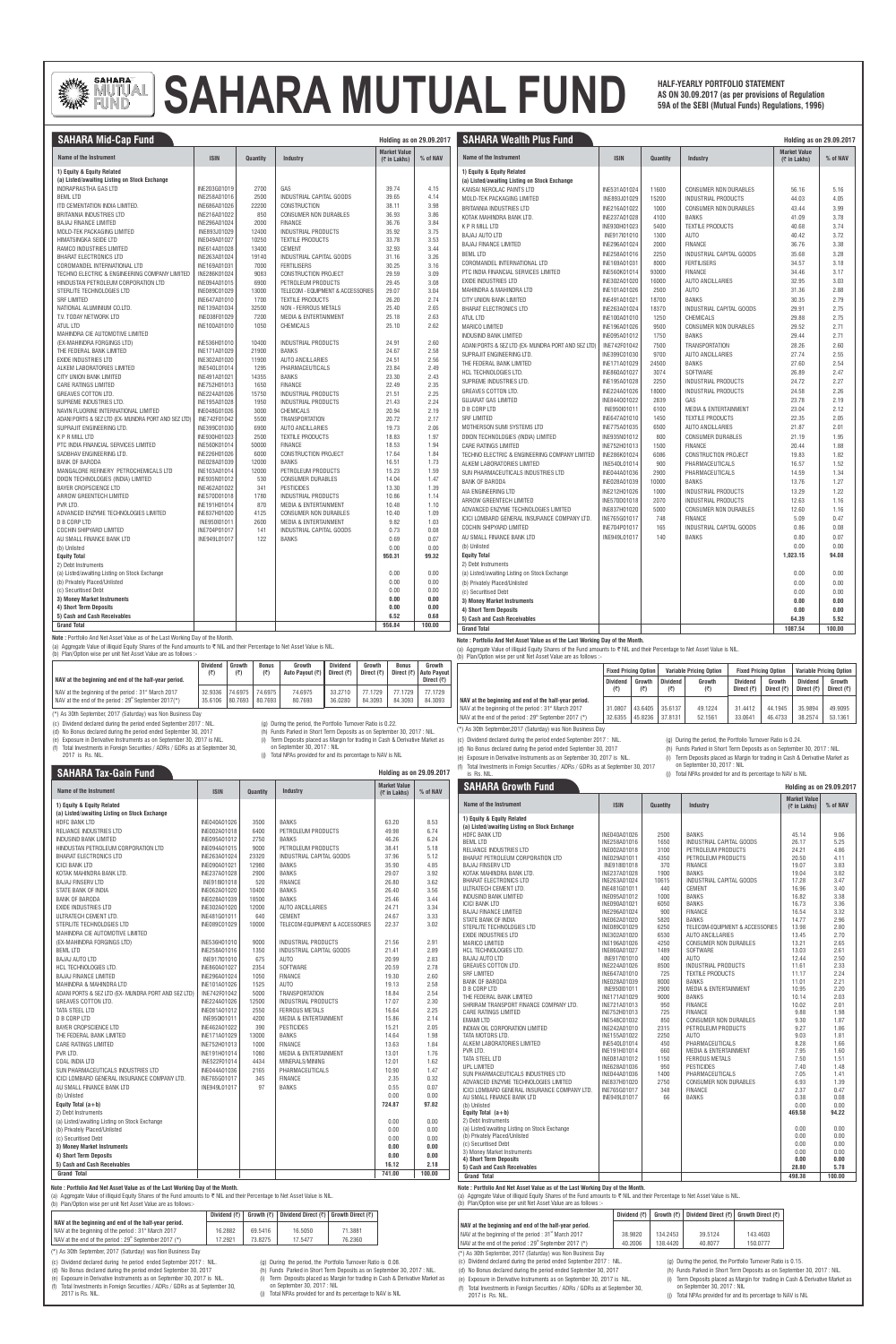

# **AS ON 30.09.2017 (as per provisions of Regulation PUND** AS ON 30.09.2017 (as per provisions of Regulation **FUND** AS ON 30.09.2017 (as per provisions of Regulations, 1996)

**HALF-YEARLY PORTFOLIO STATEMENT**

| NAV at the beginning and end of the half-year period.            | <b>Dividend</b><br>(₹) | Growth<br>(₹) | <b>Bonus</b><br>(₹) | Growth<br>Auto Payout (₹) | <b>Dividend</b><br>Direct $(\bar{\tau})$ | Growth<br>Direct $(\bar{\tau})$ | <b>Bonus</b><br>Direct $(\bar{z})$ | Growth<br>  Auto Pavout  <br>Direct $(\bar{\tau})$ |
|------------------------------------------------------------------|------------------------|---------------|---------------------|---------------------------|------------------------------------------|---------------------------------|------------------------------------|----------------------------------------------------|
| NAV at the beginning of the period: 31 <sup>st</sup> March 2017  | 32.9336                | 74.6975       | 74.6975             | 74.6975                   | 33.2710                                  | 77.1729                         | 77.1729                            | 77.1729                                            |
| NAV at the end of the period: 29 <sup>th</sup> September 2017(*) | 35.6106                | 80.7693       | 80.7693             | 80.7693                   | 36.0280                                  | 84.3093                         | 84.3093                            | 84.3093                                            |

(b) Plan/Option wise per unit Net Asset Value are as follows :-

(d) No Bonus declared during the period ended September 30, 2017

(e) Exposure in Derivative Instruments as on September 30, 2017 is NIL. (f) Total Investments in Foreign Securities / ADRs / GDRs as at September 30,

2017 is Rs. NIL.

(g) During the period, the Portfolio Turnover Ratio is 0.22.

(c) Dividend declared during the period ended September 2017 : NIL. (\*) As 30th September, 2017 (Saturday) was Non Business Day

(h) Funds Parked in Short Term Deposits as on September 30, 2017 : NIL.

on September 30, 2017 : NIL

(j) Total NPAs provided for and its percentage to NAV is NIL

**Holding as on 29.09.2017**

**SAHARA Tax-Gain Fund**

(b) Plan/Option wise per unit Net Asset Value are as follows:-

|                                                                            | Dividend $(\bar{z})$ |         | Growth $(\vec{\tau})$   Dividend Direct $(\vec{\tau})$   Growth Direct $(\vec{\tau})$ |         |
|----------------------------------------------------------------------------|----------------------|---------|---------------------------------------------------------------------------------------|---------|
| NAV at the beginning and end of the half-year period.                      |                      |         |                                                                                       |         |
| NAV at the beginning of the period: 31 <sup>st</sup> March 2017            | 16.2882              | 69.5416 | 16.5050                                                                               | 71.3881 |
| $\vert$ NAV at the end of the period : 29 <sup>th</sup> September 2017 (*) | 7.2921               | 73.8275 | 17.5477                                                                               | 76.2360 |

| <b>SAHARA Mid-Cap Fund</b>                                                          |                              |               |                                                     | <b>Holding as on 29.09.2017</b>        |              | <b>SAHARA Wealth Plus Fund</b>                                              |              |          |                                  | <b>Holding as on 29.09.2017</b>        |          |
|-------------------------------------------------------------------------------------|------------------------------|---------------|-----------------------------------------------------|----------------------------------------|--------------|-----------------------------------------------------------------------------|--------------|----------|----------------------------------|----------------------------------------|----------|
| Name of the Instrument                                                              | <b>ISIN</b>                  | Quantity      | Industry                                            | <b>Market Value</b><br>$($ ₹ in Lakhs) | % of NAV     | Name of the Instrument                                                      | <b>ISIN</b>  | Quantity | Industry                         | <b>Market Value</b><br>$($ ₹ in Lakhs) | % of NAV |
| 1) Equity & Equity Related                                                          |                              |               |                                                     |                                        |              | 1) Equity & Equity Related                                                  |              |          |                                  |                                        |          |
| (a) Listed/awaiting Listing on Stock Exchange                                       |                              |               |                                                     |                                        |              | (a) Listed/awaiting Listing on Stock Exchange                               |              |          |                                  |                                        |          |
| <b>INDRAPRASTHA GAS LTD</b>                                                         | INE203G01019                 | 2700          | GAS                                                 | 39.74                                  | 4.15         | KANSAI NEROLAC PAINTS LTD                                                   | INE531A01024 | 11600    | <b>CONSUMER NON DURABLES</b>     | 56.16                                  | 5.16     |
| <b>BEML LTD</b>                                                                     | INE258A01016                 | 2500          | INDUSTRIAL CAPITAL GOODS                            | 39.65                                  | 4.14         | MOLD-TEK PACKAGING LIMITED                                                  | INE893J01029 | 15200    | <b>INDUSTRIAL PRODUCTS</b>       | 44.03                                  | 4.05     |
| ITD CEMENTATION INDIA LIMITED<br>BRITANNIA INDUSTRIES LTD                           | INE686A01026<br>INE216A01022 | 22200<br>850  | <b>CONSTRUCTION</b><br><b>CONSUMER NON DURABLES</b> | 38.11<br>36.93                         | 3.98<br>3.86 | BRITANNIA INDUSTRIES LTD                                                    | INE216A01022 | 1000     | <b>CONSUMER NON DURABLES</b>     | 43.44                                  | 3.99     |
| <b>BAJAJ FINANCE LIMITED</b>                                                        | INE296A01024                 | 2000          | <b>FINANCE</b>                                      | 36.76                                  | 3.84         | KOTAK MAHINDRA BANK LTD.                                                    | INE237A01028 | 4100     | <b>BANKS</b>                     | 41.09                                  | 3.78     |
| MOLD-TEK PACKAGING LIMITED                                                          | INE893J01029                 | 12400         | INDUSTRIAL PRODUCTS                                 | 35.92                                  | 3.75         | <b>KPRMILLLTD</b>                                                           | INE930H01023 | 5400     | <b>TEXTILE PRODUCTS</b>          | 40.68                                  | 3.74     |
| HIMATSINGKA SEIDE LTD                                                               | INE049A01027                 | 10250         | <b>TEXTILE PRODUCTS</b>                             | 33.78                                  | 3.53         | <b>BAJAJ AUTO LTD</b>                                                       | INE917I01010 | 1300     | AUTO                             | 40.42                                  | 3.72     |
| <b>RAMCO INDUSTRIES LIMITED</b>                                                     | INE614A01028                 | 13400         | <b>CEMENT</b>                                       | 32.93                                  | 3.44         | <b>BAJAJ FINANCE LIMITED</b>                                                | INE296A01024 | 2000     | <b>FINANCE</b>                   | 36.76                                  | 3.38     |
| <b>BHARAT ELECTRONICS LTD</b>                                                       | INE263A01024                 | 19140         | INDUSTRIAL CAPITAL GOODS                            | 31.16                                  | 3.26         | <b>BEML LTD</b>                                                             | INE258A01016 | 2250     | INDUSTRIAL CAPITAL GOODS         | 35.68                                  | 3.28     |
| COROMANDEL INTERNATIONAL LTD                                                        | INE169A01031                 | 7000          | <b>FERTILISERS</b>                                  | 30.25                                  | 3.16         | COROMANDEL INTERNATIONAL LTD                                                | INE169A0103  | 8000     | <b>FERTILISERS</b>               | 34.57                                  | 3.18     |
| TECHNO ELECTRIC & ENGINEERING COMPANY LIMITED                                       | INE286K01024                 | 9083          | <b>CONSTRUCTION PROJECT</b>                         | 29.59                                  | 3.09         | PTC INDIA FINANCIAL SERVICES LIMITED                                        | INE560K01014 | 93000    | <b>FINANCE</b>                   | 34.46                                  | 3.17     |
| HINDUSTAN PETROLEUM CORPORATION LTD                                                 | INE094A01015                 | 6900          | PETROLEUM PRODUCTS                                  | 29.45                                  | 3.08         | <b>EXIDE INDUSTRIES LTD</b>                                                 | INE302A01020 | 16000    | <b>AUTO ANCILLARIES</b>          | 32.95                                  | 3.03     |
| STERLITE TECHNOLOGIES LTD                                                           | INE089C01029                 | 13000         | <b>TELECOM - EQUIPMENT &amp; ACCESSORIES</b>        | 29.07                                  | 3.04         | MAHINDRA & MAHINDRA LTD                                                     | INE101A01026 | 2500     | AUTO                             | 31.36                                  | 2.88     |
| <b>SRF LIMITED</b>                                                                  | INE647A01010                 | 1700          | <b>TEXTILE PRODUCTS</b>                             | 26.20                                  | 2.74         | CITY UNION BANK LIMITED                                                     | INE491A0102  | 18700    | <b>BANKS</b>                     | 30.35                                  | 2.79     |
| NATIONAL ALUMINIUM CO.LTD.                                                          | INE139A01034                 | 32500         | NON - FERROUS METALS                                | 25.40                                  | 2.65         | <b>BHARAT ELECTRONICS LTD</b>                                               | INE263A01024 | 18370    | INDUSTRIAL CAPITAL GOODS         | 29.91                                  | 2.75     |
| T.V. TODAY NETWORK LTD                                                              | INE038F01029                 | 7200          | <b>MEDIA &amp; ENTERTAINMENT</b>                    | 25.18                                  | 2.63         | <b>ATUL LTD</b>                                                             | INE100A01010 | 1250     | <b>CHEMICALS</b>                 | 29.88                                  | 2.75     |
| <b>ATUL LTD</b>                                                                     | INE100A01010                 | 1050          | <b>CHEMICALS</b>                                    | 25.10                                  | 2.62         | <b>MARICO LIMITED</b>                                                       | INE196A01026 | 9500     | <b>CONSUMER NON DURABLES</b>     | 29.52                                  | 2.71     |
| MAHINDRA CIE AUTOMOTIVE LIMITED                                                     |                              |               |                                                     |                                        |              | <b>INDUSIND BANK LIMITED</b>                                                | INE095A01012 | 1750     | <b>BANKS</b>                     | 29.44                                  | 2.71     |
| (EX-MAHINDRA FORGINGS LTD)                                                          | INE536H01010                 | 10400         | <b>INDUSTRIAL PRODUCTS</b>                          | 24.91                                  | 2.60         | ADANI PORTS & SEZ LTD (EX- MUNDRA PORT AND SEZ LTD)                         | INE742F01042 | 7500     | <b>TRANSPORTATION</b>            | 28.26                                  | 2.60     |
| THE FEDERAL BANK LIMITED                                                            | INE171A01029                 | 21900         | <b>BANKS</b>                                        | 24.67                                  | 2.58         | SUPRAJIT ENGINEERING LTD.                                                   | INE399C01030 | 9700     | <b>AUTO ANCILLARIES</b>          | 27.74                                  | 2.55     |
| <b>EXIDE INDUSTRIES LTD</b><br>ALKEM LABORATORIES LIMITED                           | INE302A01020                 | 11900         | <b>AUTO ANCILLARIES</b>                             | 24.51                                  | 2.56         | THE FEDERAL BANK LIMITED                                                    | INE171A01029 | 24500    | <b>BANKS</b>                     | 27.60                                  | 2.54     |
| CITY UNION BANK LIMITED                                                             | INE540L01014<br>INE491A01021 | 1295<br>14355 | PHARMACEUTICALS<br><b>BANKS</b>                     | 23.84<br>23.30                         | 2.49<br>2.43 | HCL TECHNOLOGIES LTD.                                                       | INE860A01027 | 3074     | SOFTWARE                         | 26.89                                  | 2.47     |
| <b>CARE RATINGS LIMITED</b>                                                         | INE752H01013                 | 1650          | <b>FINANCE</b>                                      | 22.49                                  | 2.35         | SUPREME INDUSTRIES LTD.                                                     | INE195A01028 | 2250     | <b>INDUSTRIAL PRODUCTS</b>       | 24.72                                  | 2.27     |
| GREAVES COTTON LTD.                                                                 | INE224A01026                 | 15750         | INDUSTRIAL PRODUCTS                                 | 21.51                                  | 2.25         | <b>GREAVES COTTON LTD</b>                                                   | INE224A01026 | 18000    | <b>INDUSTRIAL PRODUCTS</b>       | 24.58                                  | 2.26     |
| SUPREME INDUSTRIES LTD                                                              | INE195A01028                 | 1950          | <b>INDUSTRIAL PRODUCTS</b>                          | 21.43                                  | 2.24         | <b>GUJARAT GAS LIMITED</b>                                                  | INE844001022 | 2839     | GAS                              | 23.78                                  | 2.19     |
| NAVIN FLUORINE INTERNATIONAL LIMITED                                                | INE048G01026                 | 3000          | <b>CHEMICALS</b>                                    | 20.94                                  | 2.19         | <b>D B CORP LTD</b>                                                         | INE95010101  | 6100     | <b>MEDIA &amp; ENTERTAINMENT</b> | 23.04                                  | 2.12     |
| ADANI PORTS & SEZ LTD (EX- MUNDRA PORT AND SEZ LTD)                                 | INE742F01042                 | 5500          | <b>TRANSPORTATION</b>                               | 20.72                                  | 2.17         | <b>SRF LIMITED</b>                                                          | INE647A01010 | 1450     | <b>TEXTILE PRODUCTS</b>          | 22.35                                  | 2.05     |
| SUPRAJIT ENGINEERING LTD.                                                           | INE399C01030                 | 6900          | <b>AUTO ANCILLARIES</b>                             | 19.73                                  | 2.06         | MOTHERSON SUMI SYSTEMS LTD                                                  | INE775A01035 | 6500     | <b>AUTO ANCILLARIES</b>          | 21.87                                  | 2.01     |
| <b>KPRMILL LTD</b>                                                                  | INE930H01023                 | 2500          | <b>TEXTILE PRODUCTS</b>                             | 18.83                                  | 1.97         | DIXON TECHNOLOGIES (INDIA) LIMITED                                          | INE935N01012 | 800      | <b>CONSUMER DURABLES</b>         | 21.19                                  | 1.95     |
| PTC INDIA FINANCIAL SERVICES LIMITED                                                | INE560K01014                 | 50000         | <b>FINANCE</b>                                      | 18.53                                  | 1.94         | <b>CARE RATINGS LIMITED</b>                                                 | INE752H01013 | 1500     | <b>FINANCE</b>                   | 20.44                                  | 1.88     |
| SADBHAV ENGINEERING LTD.                                                            | INE226H01026                 | 6000          | <b>CONSTRUCTION PROJECT</b>                         | 17.64                                  | 1.84         | TECHNO ELECTRIC & ENGINEERING COMPANY LIMITED                               | INE286K01024 | 6086     | <b>CONSTRUCTION PROJECT</b>      | 19.83                                  | 1.82     |
| <b>BANK OF BARODA</b>                                                               | INE028A01039                 | 12000         | <b>BANKS</b>                                        | 16.51                                  | 1.73         | ALKEM LABORATORIES LIMITED                                                  | INE540L01014 | 900      | PHARMACEUTICALS                  | 16.57                                  | 1.52     |
| MANGALORE REFINERY PETROCHEMICALS LTD                                               | INE103A01014                 | 12000         | PETROLEUM PRODUCTS                                  | 15.23                                  | 1.59         | SUN PHARMACEUTICALS INDUSTRIES LTD                                          | INE044A01036 | 2900     | PHARMACEUTICALS                  | 14.59                                  | 1.34     |
| DIXON TECHNOLOGIES (INDIA) LIMITED                                                  | INE935N01012                 | 530           | <b>CONSUMER DURABLES</b>                            | 14.04                                  | 1.47         | <b>BANK OF BARODA</b>                                                       | INE028A01039 | 10000    | <b>BANKS</b>                     | 13.76                                  | 1.27     |
| <b>BAYER CROPSCIENCE LTD</b>                                                        | INE462A01022                 | 341           | <b>PESTICIDES</b>                                   | 13.30                                  | 1.39         | AIA ENGINEERING LTD                                                         | INE212H01026 | 1000     | <b>INDUSTRIAL PRODUCTS</b>       | 13.29                                  | 1.22     |
| ARROW GREENTECH LIMITED                                                             | INE570D01018                 | 1780          | INDUSTRIAL PRODUCTS                                 | 10.86                                  | 1.14         | ARROW GREENTECH LIMITED                                                     | INE570D01018 | 2070     | <b>INDUSTRIAL PRODUCTS</b>       | 12.63                                  | 1.16     |
| PVR LTD.                                                                            | INE191H01014                 | 870           | <b>MEDIA &amp; ENTERTAINMENT</b>                    | 10.48                                  | 1.10         | ADVANCED ENZYME TECHNOLOGIES LIMITED                                        | INE837H01020 | 5000     | CONSUMER NON DURABLES            | 12.60                                  | 1.16     |
| ADVANCED ENZYME TECHNOLOGIES LIMITED                                                | INE837H01020                 | 4125          | <b>CONSUMER NON DURABLES</b>                        | 10.40                                  | 1.09         | ICICI LOMBARD GENERAL INSURANCE COMPANY LTD.                                | INE765G01017 | 748      | <b>FINANCE</b>                   | 5.09                                   | 0.47     |
| D B CORP LTD<br>COCHIN SHIPYARD LIMITED                                             | INE950101011<br>INE704P01017 | 2600          | <b>MEDIA &amp; ENTERTAINMENT</b>                    | 9.82                                   | 1.03<br>0.08 | COCHIN SHIPYARD LIMITED                                                     | INE704P01017 | 165      | INDUSTRIAL CAPITAL GOODS         | 0.86                                   | 0.08     |
| AU SMALL FINANCE BANK LTD                                                           | INE949L01017                 | 141<br>122    | INDUSTRIAL CAPITAL GOODS<br><b>BANKS</b>            | 0.73<br>0.69                           | 0.07         | AU SMALL FINANCE BANK LTD                                                   | INE949L01017 | 140      | <b>BANKS</b>                     | 0.80                                   | 0.07     |
| (b) Unlisted                                                                        |                              |               |                                                     | 0.00                                   | 0.00         | (b) Unlisted                                                                |              |          |                                  | 0.00                                   | 0.00     |
| <b>Equity Total</b>                                                                 |                              |               |                                                     | 950.31                                 | 99.32        | <b>Equity Total</b>                                                         |              |          |                                  | 1,023.15                               | 94.08    |
| 2) Debt Instruments                                                                 |                              |               |                                                     |                                        |              | 2) Debt Instruments                                                         |              |          |                                  |                                        |          |
| (a) Listed/awaiting Listing on Stock Exchange                                       |                              |               |                                                     | 0.00                                   | 0.00         | (a) Listed/awaiting Listing on Stock Exchange                               |              |          |                                  | 0.00                                   | 0.00     |
| (b) Privately Placed/Unlisted                                                       |                              |               |                                                     | 0.00                                   | 0.00         | (b) Privately Placed/Unlisted                                               |              |          |                                  | 0.00                                   | 0.00     |
| (c) Securitised Debt                                                                |                              |               |                                                     | 0.00                                   | 0.00         | (c) Securitised Debt                                                        |              |          |                                  | 0.00                                   | 0.00     |
| 3) Money Market Instruments                                                         |                              |               |                                                     | 0.00                                   | 0.00         | 3) Money Market Instruments                                                 |              |          |                                  | 0.00                                   | 0.00     |
| 4) Short Term Deposits                                                              |                              |               |                                                     | 0.00                                   | 0.00         | 4) Short Term Deposits                                                      |              |          |                                  | 0.00                                   | 0.00     |
| 5) Cash and Cash Receivables                                                        |                              |               |                                                     | 6.52                                   | 0.68         | 5) Cash and Cash Receivables                                                |              |          |                                  | 64.39                                  | 5.92     |
| <b>Grand Total</b>                                                                  |                              |               |                                                     | 956.84                                 | 100.00       | <b>Grand Total</b>                                                          |              |          |                                  | 1087.54                                | 100.00   |
| <b>Note:</b> Portfolio And Net Asset Value as of the Last Working Day of the Month. |                              |               |                                                     |                                        |              | lota : Doutfolio And Not Acoot Volus as of the Loot Wayking Dou of the Mont |              |          |                                  |                                        |          |

(a) Aggregate Value of illiquid Equity Shares of the Fund amounts to ₹ NIL and their Percentage to Net Asset Value is NIL.

#### **Note : Portfolio And Net Asset Value as of the Last Working Day of the Month.**

(a) Aggregate Value of illiquid Equity Shares of the Fund amounts to ₹ NIL and their Percentage to Net Asset Value is NIL.

(\*) As 30th September, 2017 (Saturday) was Non Business Day

(i) Term Deposits placed as Margin for trading in Cash & Derivative Market as (c) Dividend declared during the period ended September 2017 : NIL.

- (c) Dividend declared during he period ended September 2017 : NIL.
- (d) No Bonus declared during the period ended September 30, 2017
- (e) Exposure in Derivative Instruments as on September 30, 2017 is NIL. (f) Total Investments in Foreign Securities / ADRs / GDRs as at September 30, 2017 is Rs. NIL.
- (g) During the period, the Portfolio Turnover Ratio is 0.08.
- (h) Funds Parked in Short Term Deposits as on September 30, 2017 : NIL.
- (i) Term Deposits placed as Margin for trading in Cash & Derivative Market as on September 30, 2017 : NIL
- (j) Total NPAs provided for and its percentage to NAV is NIL
- **Note : Portfolio And Net Asset Value as of the Last Working Day of the Month.**

(a) Aggregate Value of illiquid Equity Shares of the Fund amounts to  $\nabla$  NIL and their Percentage to Net Asset Value is NIL.

| Name of the Instrument                              | <b>ISIN</b>  | Quantity | <b>Industry</b>                            | <b>Market Value</b><br>$($ ₹ in Lakhs) | % of NAV | <b>SAHARA Growth Fund</b>                                    |                              |              |                                                            | Holding as on 29.09.201                |              |
|-----------------------------------------------------|--------------|----------|--------------------------------------------|----------------------------------------|----------|--------------------------------------------------------------|------------------------------|--------------|------------------------------------------------------------|----------------------------------------|--------------|
| 1) Equity & Equity Related                          |              |          |                                            |                                        |          | Name of the Instrument                                       | <b>ISIN</b>                  | Quantity     | <b>Industry</b>                                            | <b>Market Value</b><br>$($ ₹ in Lakhs) | % of NAV     |
| (a) Listed/awaiting Listing on Stock Exchange       |              |          |                                            |                                        |          | 1) Equity & Equity Related                                   |                              |              |                                                            |                                        |              |
| <b>HDFC BANK LTD</b>                                | INE040A01026 | 3500     | <b>BANKS</b>                               | 63.20                                  | 8.53     | (a) Listed/awaiting Listing on Stock Exchange                |                              |              |                                                            |                                        |              |
| RELIANCE INDUSTRIES LTD                             | INE002A01018 | 6400     | PETROLEUM PRODUCTS                         | 49.98                                  | 6.74     | <b>HDFC BANK LTD</b>                                         | INE040A01026                 | 2500         | <b>BANKS</b>                                               | 45.14                                  | 9.06         |
| <b>INDUSIND BANK LIMITED</b>                        | INE095A01012 | 2750     | <b>BANKS</b>                               | 46.26                                  | 6.24     | <b>BEML LTD</b>                                              | INE258A01016                 | 1650         | INDUSTRIAL CAPITAL GOODS                                   | 26.17                                  | 5.25         |
| HINDUSTAN PETROLEUM CORPORATION LTD                 | INE094A01015 | 9000     | PETROLEUM PRODUCTS                         | 38.41                                  | 5.18     | RELIANCE INDUSTRIES LTD                                      | INE002A01018                 | 3100         | PETROLEUM PRODUCTS                                         | 24.21                                  | 4.86         |
| <b>BHARAT ELECTRONICS LTD</b>                       | INE263A01024 | 23320    | <b>INDUSTRIAL CAPITAL GOODS</b>            | 37.96                                  | 5.12     | BHARAT PETROLEUM CORPORATION LTD                             | INE029A01011                 | 4350         | PETROLEUM PRODUCTS                                         | 20.50                                  | 4.11         |
| <b>ICICI BANK LTD</b>                               | INE090A01021 | 12980    | <b>BANKS</b>                               | 35.90                                  | 4.85     | <b>BAJAJ FINSERV LTD</b>                                     | INE918I01018                 | 370          | <b>FINANCE</b>                                             | 19.07                                  | 3.83         |
| KOTAK MAHINDRA BANK LTD.                            | INE237A01028 | 2900     | <b>BANKS</b>                               | 29.07                                  | 3.92     | KOTAK MAHINDRA BANK LTD.                                     | INE237A01028                 | 1900         | <b>BANKS</b>                                               | 19.04                                  | 3.82         |
| <b>BAJAJ FINSERV LTD</b>                            | INE918I01018 | 520      | <b>FINANCE</b>                             | 26.80                                  | 3.62     | <b>BHARAT ELECTRONICS LTD</b>                                | INE263A01024                 | 10615        | INDUSTRIAL CAPITAL GOODS                                   | 17.28                                  | 3.47         |
| STATE BANK OF INDIA                                 | INE062A01020 | 10400    | <b>BANKS</b>                               | 26.40                                  | 3.56     | ULTRATECH CEMENT LTD.                                        | INE481G01011                 | 440          | <b>CEMENT</b>                                              | 16.96                                  | 3.40         |
| <b>BANK OF BARODA</b>                               | INE028A01039 | 18500    | <b>BANKS</b>                               | 25.46                                  | 3.44     | <b>INDUSIND BANK LIMITED</b>                                 | INE095A01012                 | 1000         | <b>BANKS</b>                                               | 16.82                                  | 3.38         |
| <b>EXIDE INDUSTRIES LTD</b>                         | INE302A01020 | 12000    | <b>AUTO ANCILLARIES</b>                    | 24.71                                  | 3.34     | <b>ICICI BANK LTD</b>                                        | INE090A01021                 | 6050         | <b>BANKS</b>                                               | 16.73                                  | 3.36         |
| ULTRATECH CEMENT LTD.                               | INE481G01011 | 640      | CEMENT                                     | 24.67                                  | 3.33     | <b>BAJAJ FINANCE LIMITED</b>                                 | INE296A01024                 | 900          | <b>FINANCE</b>                                             | 16.54                                  | 3.32         |
| STERLITE TECHNOLOGIES LTD                           | INE089C01029 | 10000    | <b>TELECOM-EQUIPMENT &amp; ACCESSORIES</b> | 22.37                                  | 3.02     | STATE BANK OF INDIA<br>STERLITE TECHNOLOGIES LTD             | INE062A01020                 | 5820<br>6250 | <b>BANKS</b><br><b>TELECOM-EQUIPMENT &amp; ACCESSORIES</b> | 14.77<br>13.98                         | 2.96<br>2.80 |
| MAHINDRA CIE AUTOMOTIVE LIMITED                     |              |          |                                            |                                        |          | <b>EXIDE INDUSTRIES LTD</b>                                  | INE089C01029<br>INE302A01020 | 6530         | <b>AUTO ANCILLARIES</b>                                    | 13.45                                  | 2.70         |
| (EX-MAHINDRA FORGINGS LTD)                          | INE536H01010 | 9000     | <b>INDUSTRIAL PRODUCTS</b>                 | 21.56                                  | 2.91     | <b>MARICO LIMITED</b>                                        | INE196A01026                 | 4250         | <b>CONSUMER NON DURABLES</b>                               | 13.21                                  | 2.65         |
| <b>BEML LTD</b>                                     | INE258A01016 | 1350     | INDUSTRIAL CAPITAL GOODS                   | 21.41                                  | 2.89     | <b>HCL TECHNOLOGIES LTD.</b>                                 | INE860A01027                 | 1489         | SOFTWARE                                                   | 13.03                                  | 2.61         |
| <b>BAJAJ AUTO LTD</b>                               | INE917I01010 | 675      | AUTO                                       | 20.99                                  | 2.83     | <b>BAJAJ AUTO LTD</b>                                        | INE917I01010                 | 400          | AUTO                                                       | 12.44                                  | 2.50         |
| <b>HCL TECHNOLOGIES LTD.</b>                        | INE860A01027 | 2354     | SOFTWARE                                   | 20.59                                  | 2.78     | <b>GREAVES COTTON LTD.</b>                                   | INE224A01026                 | 8500         | <b>INDUSTRIAL PRODUCTS</b>                                 | 11.61                                  | 2.33         |
| <b>BAJAJ FINANCE LIMITED</b>                        | INE296A01024 | 1050     | <b>FINANCE</b>                             | 19.30                                  | 2.60     | <b>SRF LIMITED</b>                                           | INE647A01010                 | 725          | <b>TEXTILE PRODUCTS</b>                                    | 11.17                                  | 2.24         |
| MAHINDRA & MAHINDRA LTD                             | INE101A01026 | 1525     | <b>AUTO</b>                                | 19.13                                  | 2.58     | <b>BANK OF BARODA</b>                                        | INE028A01039                 | 8000         | <b>BANKS</b>                                               | 11.01                                  | 2.21         |
| ADANI PORTS & SEZ LTD (EX- MUNDRA PORT AND SEZ LTD) | INE742F01042 | 5000     | <b>TRANSPORTATION</b>                      | 18.84                                  | 2.54     | <b>D B CORP LTD</b>                                          | INE950I01011                 | 2900         | <b>MEDIA &amp; ENTERTAINMENT</b>                           | 10.95                                  | 2.20         |
| <b>GREAVES COTTON LTD.</b>                          | INE224A01026 | 12500    | <b>INDUSTRIAL PRODUCTS</b>                 | 17.07                                  | 2.30     | THE FEDERAL BANK LIMITED                                     | INE171A01029                 | 9000         | <b>BANKS</b>                                               | 10.14                                  | 2.03         |
| TATA STEEL LTD                                      | INE081A01012 | 2550     | <b>FERROUS METALS</b>                      | 16.64                                  | 2.25     | SHRIRAM TRANSPORT FINANCE COMPANY LTD.                       | INE721A01013                 | 950          | <b>FINANCE</b>                                             | 10.02                                  | 2.01         |
| <b>D B CORP LTD</b>                                 | INE950I01011 | 4200     | <b>MEDIA &amp; ENTERTAINMENT</b>           | 15.86                                  | 2.14     | CARE RATINGS LIMITED                                         | INE752H01013                 | 725          | <b>FINANCE</b>                                             | 9.88                                   | 1.98         |
|                                                     |              |          |                                            |                                        |          | <b>EMAMILTD</b>                                              | INE548C01032                 | 850          | <b>CONSUMER NON DURABLES</b>                               | 9.30                                   | 1.87         |
| <b>BAYER CROPSCIENCE LTD</b>                        | INE462A01022 | 390      | <b>PESTICIDES</b>                          | 15.21                                  | 2.05     | INDIAN OIL CORPORATION LIMITED                               | INE242A01010                 | 2315         | PETROLEUM PRODUCTS                                         | 9.27                                   | 1.86         |
| THE FEDERAL BANK LIMITED                            | INE171A01029 | 13000    | <b>BANKS</b>                               | 14.64                                  | 1.98     | TATA MOTORS LTD.<br>ALKEM LABORATORIES LIMITED               | INE155A01022<br>INE540L01014 | 2250<br>450  | <b>AUTO</b><br>PHARMACEUTICALS                             | 9.03<br>8.28                           | 1.81<br>1.66 |
| <b>CARE RATINGS LIMITED</b>                         | INE752H01013 | 1000     | <b>FINANCE</b>                             | 13.63                                  | 1.84     | PVR LTD.                                                     | INE191H01014                 | 660          | <b>MEDIA &amp; ENTERTAINMENT</b>                           | 7.95                                   | 1.60         |
| PVR LTD.                                            | INE191H01014 | 1080     | <b>MEDIA &amp; ENTERTAINMENT</b>           | 13.01                                  | 1.76     | TATA STEEL LTD                                               | INE081A01012                 | 1150         | <b>FERROUS METALS</b>                                      | 7.50                                   | 1.51         |
| COAL INDIA LTD                                      | INE522F01014 | 4434     | MINERALS/MINING                            | 12.01                                  | 1.62     | UPL LIMITED                                                  | INE628A01036                 | 950          | <b>PESTICIDES</b>                                          | 7.40                                   | 1.48         |
| SUN PHARMACEUTICALS INDUSTRIES LTD                  | INE044A01036 | 2165     | PHARMACEUTICALS                            | 10.90                                  | 1.47     | SUN PHARMACEUTICALS INDUSTRIES LTD                           | INE044A01036                 | 1400         | PHARMACEUTICALS                                            | 7.05                                   | 1.41         |
| ICICI LOMBARD GENERAL INSURANCE COMPANY LTD.        | INE765G01017 | 345      | <b>FINANCE</b>                             | 2.35                                   | 0.32     | ADVANCED ENZYME TECHNOLOGIES LIMITED                         | INE837H01020                 | 2750         | <b>CONSUMER NON DURABLES</b>                               | 6.93                                   | 1.39         |
| AU SMALL FINANCE BANK LTD                           | INE949L01017 | 97       | <b>BANKS</b>                               | 0.55                                   | 0.07     | ICICI LOMBARD GENERAL INSURANCE COMPANY LTD.                 | INE765G01017                 | 348          | <b>FINANCE</b>                                             | 2.37                                   | 0.47         |
| (b) Unlisted                                        |              |          |                                            | 0.00                                   | 0.00     | AU SMALL FINANCE BANK LTD                                    | INE949L01017                 | 66           | <b>BANKS</b>                                               | 0.38                                   | 0.08         |
| Equity Total $(a + b)$                              |              |          |                                            | 724.87                                 | 97.82    | (b) Unlisted                                                 |                              |              |                                                            | 0.00                                   | 0.00         |
| 2) Debt Instruments                                 |              |          |                                            |                                        |          | Equity Total $(a + b)$                                       |                              |              |                                                            | 469.58                                 | 94.22        |
| (a) Listed/awaiting Listing on Stock Exchange       |              |          |                                            | 0.00                                   | 0.00     | 2) Debt Instruments                                          |                              |              |                                                            |                                        |              |
| (b) Privately Placed/Unlisted                       |              |          |                                            | 0.00                                   | 0.00     | (a) Listed/awaiting Listing on Stock Exchange                |                              |              |                                                            | 0.00                                   | 0.00         |
| (c) Securitised Debt                                |              |          |                                            | 0.00                                   | 0.00     | (b) Privately Placed/Unlisted                                |                              |              |                                                            | 0.00                                   | 0.00         |
| 3) Money Market Instruments                         |              |          |                                            | 0.00                                   | 0.00     | (c) Securitised Debt                                         |                              |              |                                                            | 0.00                                   | 0.00         |
| 4) Short Term Deposits                              |              |          |                                            | 0.00                                   | 0.00     | 3) Money Market Instruments<br><b>4) Short Term Deposits</b> |                              |              |                                                            | 0.00<br>0.00                           | 0.00<br>0.00 |
| 5) Cash and Cash Receivables                        |              |          |                                            | 16.12                                  | 2.18     | 5) Cash and Cash Receivables                                 |                              |              |                                                            | 28.80                                  | 5.78         |
| <b>Grand Total</b>                                  |              |          |                                            | 741.00                                 | 100.00   | <b>Grand Total</b>                                           |                              |              |                                                            | 498.38                                 | 100.00       |
|                                                     |              |          |                                            |                                        |          |                                                              |                              |              |                                                            |                                        |              |

|                                                                    | Dividend $(\bar{z})$ |          | Growth $(\vec{\tau})$   Dividend Direct $(\vec{\tau})$   Growth Direct $(\vec{\tau})$ |          |
|--------------------------------------------------------------------|----------------------|----------|---------------------------------------------------------------------------------------|----------|
| NAV at the beginning and end of the half-year period.              |                      |          |                                                                                       |          |
| NAV at the beginning of the period: 31 <sup>st</sup> March 2017    | 38.9820              | 134.2453 | 39.5124                                                                               | 143.4603 |
| NAV at the end of the period : 29 <sup>th</sup> September 2017 (*) | 40.2006              | 138,4420 | 40.8077                                                                               | 150.0777 |

(b) Plan/Option wise per unit Net Asset Value are as follows :-

- (c) Dividend declared during the period ended September 2017 : NIL.
- (d) No Bonus declared during the period ended September 30, 2017
- (e) Exposure in Derivative Instruments as on September 30, 2017 is NIL.
- (f) Total Investments in Foreign Securities / ADRs / GDRs as at September 30, 2017 is Rs. NIL.
- (g) During the period, the Portfolio Turnover Ratio is 0.15.
- (h) Funds Parked in Short Term Deposits as on September 30, 2017 : NIL.
- (i) Term Deposits placed as Margin for trading in Cash & Derivative Market as on September 30, 2017 : NIL
- (j) Total NPAs provided for and its percentage to NAV is NIL

|                                                                 |                        | <b>Fixed Pricing Option</b> |                        | <b>Variable Pricing Option</b> | <b>Fixed Pricing Option</b>              |                                 |                                          | <b>Variable Pricing Option</b>  |
|-----------------------------------------------------------------|------------------------|-----------------------------|------------------------|--------------------------------|------------------------------------------|---------------------------------|------------------------------------------|---------------------------------|
|                                                                 | <b>Dividend</b><br>(₹) | Growth<br>(₹)               | <b>Dividend</b><br>(₹) | Growth<br>(₹)                  | <b>Dividend</b><br>Direct $(\bar{\tau})$ | Growth<br>Direct $(\bar{\tau})$ | <b>Dividend</b><br>Direct $(\bar{\tau})$ | Growth<br>Direct $(\bar{\tau})$ |
| NAV at the beginning and end of the half-year period.           |                        |                             |                        |                                |                                          |                                 |                                          |                                 |
| NAV at the beginning of the period: 31 <sup>st</sup> March 2017 | 31.0807                | 43.6405                     | 35.6137                | 49.1224                        | 31.4412                                  | 44.1945                         | 35.9894                                  | 49.9095                         |
| NAV at the end of the period : $29th$ September 2017 (*)        | 32.6355                | 45.8236                     | 37.8131                | 52.1561                        | 33.0641                                  | 46.4733                         | 38.2574                                  | 53.1361                         |

(b) Plan/Option wise per unit Net Asset Value are as follows :-

(d) No Bonus declared during the period ended September 30, 2017

(e) Exposure in Derivative Instruments as on September 30, 2017 is NIL.

(f) Total Investments in Foreign Securities / ADRs / GDRs as at September 30, 2017 is Rs. NIL.

(g) During the period, the Portfolio Turnover Ratio is 0.24.

- (h) Funds Parked in Short Term Deposits as on September 30, 2017 : NIL. (i) Term Deposits placed as Margin for trading in Cash & Derivative Market as
- on September 30, 2017 : NIL

(j) Total NPAs provided for and its percentage to NAV is NIL

**Note : Portfolio And Net Asset Value as of the Last Working Day of the Month.**

(a) Aggregate Value of illiquid Equity Shares of the Fund amounts to ₹ NIL and their Percentage to Net Asset Value is NIL.

(\*) As 30th September,2017 (Saturday) was Non Business Day

(\*) As 30th September, 2017 (Saturday) was Non Business Day